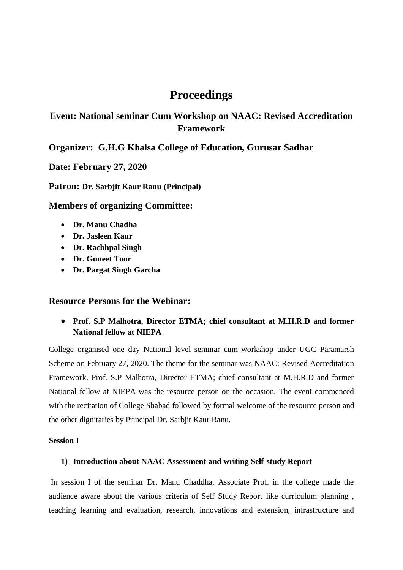# **Proceedings**

# **Event: National seminar Cum Workshop on NAAC: Revised Accreditation Framework**

## **Organizer: G.H.G Khalsa College of Education, Gurusar Sadhar**

**Date: February 27, 2020**

**Patron: Dr. Sarbjit Kaur Ranu (Principal)**

**Members of organizing Committee:**

- **Dr. Manu Chadha**
- **Dr. Jasleen Kaur**
- **Dr. Rachhpal Singh**
- **Dr. Guneet Toor**
- **Dr. Pargat Singh Garcha**

### **Resource Persons for the Webinar:**

 **Prof. S.P Malhotra, Director ETMA; chief consultant at M.H.R.D and former National fellow at NIEPA**

College organised one day National level seminar cum workshop under UGC Paramarsh Scheme on February 27, 2020. The theme for the seminar was NAAC: Revised Accreditation Framework. Prof. S.P Malhotra, Director ETMA; chief consultant at M.H.R.D and former National fellow at NIEPA was the resource person on the occasion. The event commenced with the recitation of College Shabad followed by formal welcome of the resource person and the other dignitaries by Principal Dr. Sarbjit Kaur Ranu.

#### **Session I**

### **1) Introduction about NAAC Assessment and writing Self-study Report**

In session I of the seminar Dr. Manu Chaddha, Associate Prof. in the college made the audience aware about the various criteria of Self Study Report like curriculum planning , teaching learning and evaluation, research, innovations and extension, infrastructure and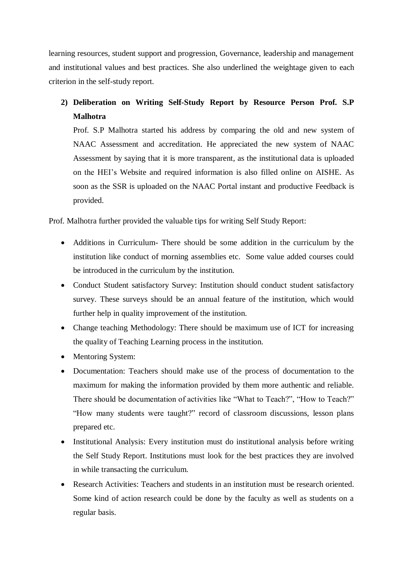learning resources, student support and progression, Governance, leadership and management and institutional values and best practices. She also underlined the weightage given to each criterion in the self-study report.

# **2) Deliberation on Writing Self-Study Report by Resource Person Prof. S.P Malhotra**

Prof. S.P Malhotra started his address by comparing the old and new system of NAAC Assessment and accreditation. He appreciated the new system of NAAC Assessment by saying that it is more transparent, as the institutional data is uploaded on the HEI's Website and required information is also filled online on AISHE. As soon as the SSR is uploaded on the NAAC Portal instant and productive Feedback is provided.

Prof. Malhotra further provided the valuable tips for writing Self Study Report:

- Additions in Curriculum- There should be some addition in the curriculum by the institution like conduct of morning assemblies etc. Some value added courses could be introduced in the curriculum by the institution.
- Conduct Student satisfactory Survey: Institution should conduct student satisfactory survey. These surveys should be an annual feature of the institution, which would further help in quality improvement of the institution.
- Change teaching Methodology: There should be maximum use of ICT for increasing the quality of Teaching Learning process in the institution.
- Mentoring System:
- Documentation: Teachers should make use of the process of documentation to the maximum for making the information provided by them more authentic and reliable. There should be documentation of activities like "What to Teach?", "How to Teach?" "How many students were taught?" record of classroom discussions, lesson plans prepared etc.
- Institutional Analysis: Every institution must do institutional analysis before writing the Self Study Report. Institutions must look for the best practices they are involved in while transacting the curriculum.
- Research Activities: Teachers and students in an institution must be research oriented. Some kind of action research could be done by the faculty as well as students on a regular basis.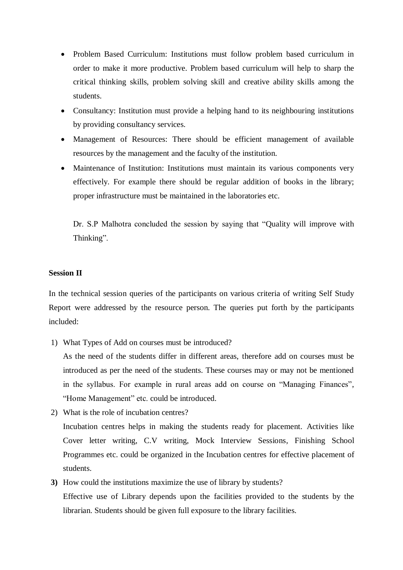- Problem Based Curriculum: Institutions must follow problem based curriculum in order to make it more productive. Problem based curriculum will help to sharp the critical thinking skills, problem solving skill and creative ability skills among the students.
- Consultancy: Institution must provide a helping hand to its neighbouring institutions by providing consultancy services.
- Management of Resources: There should be efficient management of available resources by the management and the faculty of the institution.
- Maintenance of Institution: Institutions must maintain its various components very effectively. For example there should be regular addition of books in the library; proper infrastructure must be maintained in the laboratories etc.

Dr. S.P Malhotra concluded the session by saying that "Quality will improve with Thinking".

#### **Session II**

In the technical session queries of the participants on various criteria of writing Self Study Report were addressed by the resource person. The queries put forth by the participants included:

1) What Types of Add on courses must be introduced?

As the need of the students differ in different areas, therefore add on courses must be introduced as per the need of the students. These courses may or may not be mentioned in the syllabus. For example in rural areas add on course on "Managing Finances", "Home Management" etc. could be introduced.

2) What is the role of incubation centres?

Incubation centres helps in making the students ready for placement. Activities like Cover letter writing, C.V writing, Mock Interview Sessions, Finishing School Programmes etc. could be organized in the Incubation centres for effective placement of students.

**3)** How could the institutions maximize the use of library by students? Effective use of Library depends upon the facilities provided to the students by the librarian. Students should be given full exposure to the library facilities.